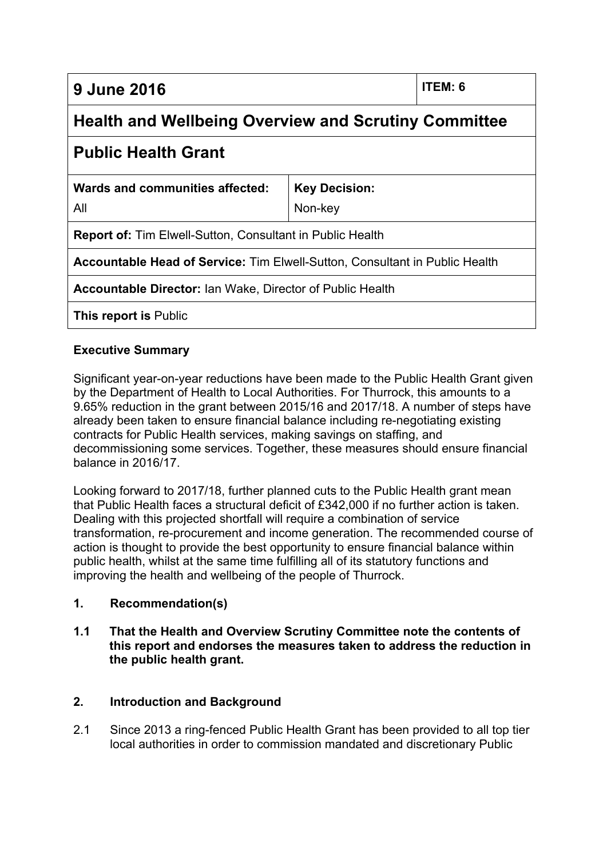**9 June 2016 ITEM: 6**

# **Health and Wellbeing Overview and Scrutiny Committee**

## **Public Health Grant**

| Wards and communities affected: | <b>Key Decision:</b> |
|---------------------------------|----------------------|
| All                             | Non-key              |

**Report of:** Tim Elwell-Sutton, Consultant in Public Health

**Accountable Head of Service:** Tim Elwell-Sutton, Consultant in Public Health

**Accountable Director:** Ian Wake, Director of Public Health

**This report is** Public

### **Executive Summary**

Significant year-on-year reductions have been made to the Public Health Grant given by the Department of Health to Local Authorities. For Thurrock, this amounts to a 9.65% reduction in the grant between 2015/16 and 2017/18. A number of steps have already been taken to ensure financial balance including re-negotiating existing contracts for Public Health services, making savings on staffing, and decommissioning some services. Together, these measures should ensure financial balance in 2016/17.

Looking forward to 2017/18, further planned cuts to the Public Health grant mean that Public Health faces a structural deficit of £342,000 if no further action is taken. Dealing with this projected shortfall will require a combination of service transformation, re-procurement and income generation. The recommended course of action is thought to provide the best opportunity to ensure financial balance within public health, whilst at the same time fulfilling all of its statutory functions and improving the health and wellbeing of the people of Thurrock.

#### **1. Recommendation(s)**

#### **1.1 That the Health and Overview Scrutiny Committee note the contents of this report and endorses the measures taken to address the reduction in the public health grant.**

### **2. Introduction and Background**

2.1 Since 2013 a ring-fenced Public Health Grant has been provided to all top tier local authorities in order to commission mandated and discretionary Public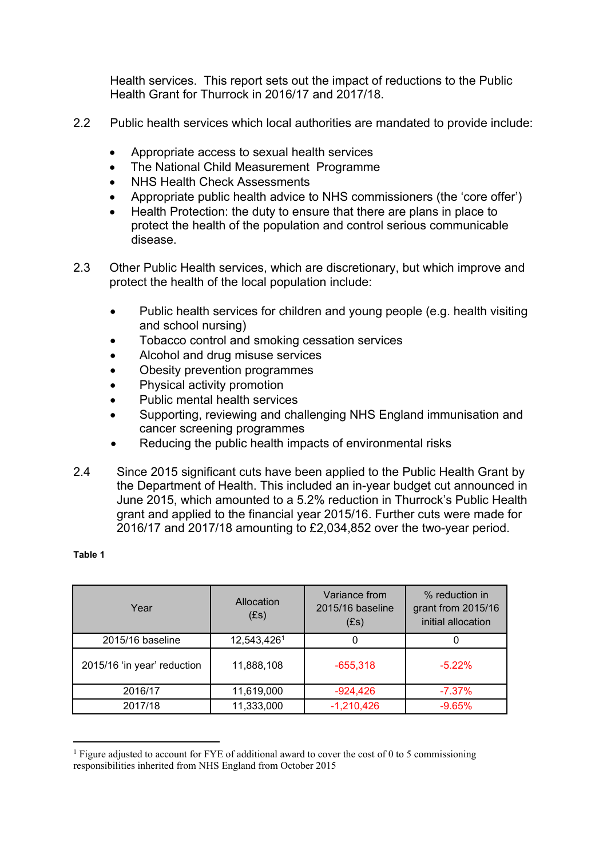Health services. This report sets out the impact of reductions to the Public Health Grant for Thurrock in 2016/17 and 2017/18.

- 2.2 Public health services which local authorities are mandated to provide include:
	- Appropriate access to sexual health services
	- The National Child Measurement Programme
	- NHS Health Check Assessments
	- Appropriate public health advice to NHS commissioners (the 'core offer')
	- Health Protection: the duty to ensure that there are plans in place to protect the health of the population and control serious communicable disease.
- 2.3 Other Public Health services, which are discretionary, but which improve and protect the health of the local population include:
	- Public health services for children and young people (e.g. health visiting and school nursing)
	- Tobacco control and smoking cessation services
	- Alcohol and drug misuse services
	- Obesity prevention programmes
	- Physical activity promotion
	- Public mental health services
	- Supporting, reviewing and challenging NHS England immunisation and cancer screening programmes
	- Reducing the public health impacts of environmental risks
- 2.4 Since 2015 significant cuts have been applied to the Public Health Grant by the Department of Health. This included an in-year budget cut announced in June 2015, which amounted to a 5.2% reduction in Thurrock's Public Health grant and applied to the financial year 2015/16. Further cuts were made for 2016/17 and 2017/18 amounting to £2,034,852 over the two-year period.

#### **Table 1**

| Year                        | Allocation<br>(Es) | Variance from<br>2015/16 baseline<br>(Es) | % reduction in<br>grant from 2015/16<br>initial allocation |
|-----------------------------|--------------------|-------------------------------------------|------------------------------------------------------------|
| 2015/16 baseline            | 12,543,4261        | O                                         |                                                            |
| 2015/16 'in year' reduction | 11,888,108         | $-655,318$                                | $-5.22%$                                                   |
| 2016/17                     | 11,619,000         | $-924,426$                                | $-7.37\%$                                                  |
| 2017/18                     | 11,333,000         | $-1,210,426$                              | $-9.65%$                                                   |

<sup>&</sup>lt;sup>1</sup> Figure adjusted to account for FYE of additional award to cover the cost of 0 to 5 commissioning responsibilities inherited from NHS England from October 2015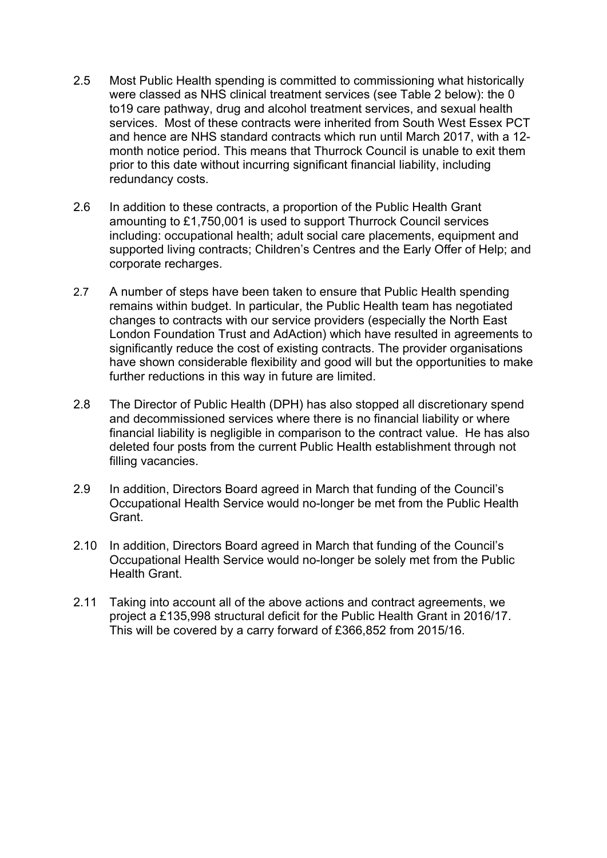- 2.5 Most Public Health spending is committed to commissioning what historically were classed as NHS clinical treatment services (see Table 2 below): the 0 to19 care pathway, drug and alcohol treatment services, and sexual health services. Most of these contracts were inherited from South West Essex PCT and hence are NHS standard contracts which run until March 2017, with a 12 month notice period. This means that Thurrock Council is unable to exit them prior to this date without incurring significant financial liability, including redundancy costs.
- 2.6 In addition to these contracts, a proportion of the Public Health Grant amounting to £1,750,001 is used to support Thurrock Council services including: occupational health; adult social care placements, equipment and supported living contracts; Children's Centres and the Early Offer of Help; and corporate recharges.
- 2.7 A number of steps have been taken to ensure that Public Health spending remains within budget. In particular, the Public Health team has negotiated changes to contracts with our service providers (especially the North East London Foundation Trust and AdAction) which have resulted in agreements to significantly reduce the cost of existing contracts. The provider organisations have shown considerable flexibility and good will but the opportunities to make further reductions in this way in future are limited.
- 2.8 The Director of Public Health (DPH) has also stopped all discretionary spend and decommissioned services where there is no financial liability or where financial liability is negligible in comparison to the contract value. He has also deleted four posts from the current Public Health establishment through not filling vacancies.
- 2.9 In addition, Directors Board agreed in March that funding of the Council's Occupational Health Service would no-longer be met from the Public Health Grant.
- 2.10 In addition, Directors Board agreed in March that funding of the Council's Occupational Health Service would no-longer be solely met from the Public Health Grant.
- 2.11 Taking into account all of the above actions and contract agreements, we project a £135,998 structural deficit for the Public Health Grant in 2016/17. This will be covered by a carry forward of £366,852 from 2015/16.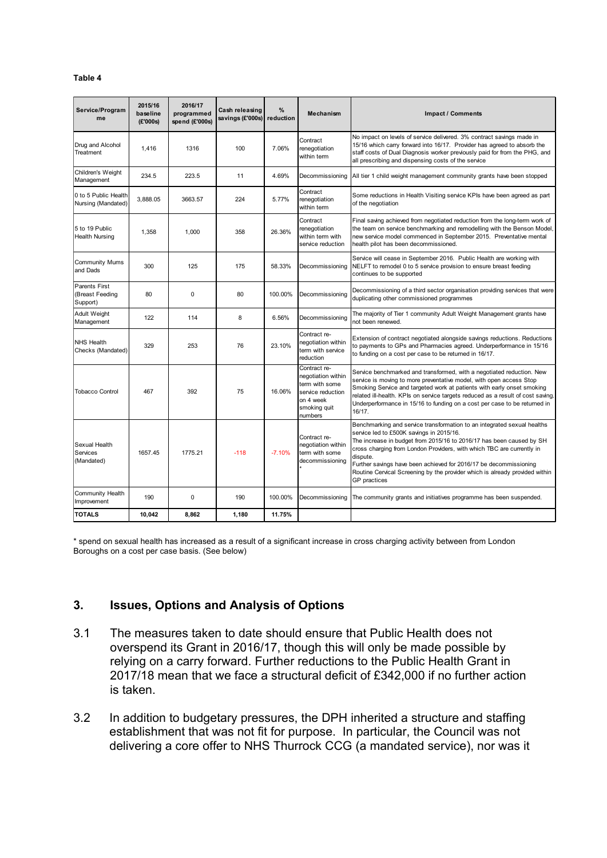| Service/Program<br>me                        | 2015/16<br>baseline<br>(£'000s) | 2016/17<br>programmed<br>spend (£'000s) | Cash releasing<br>savings (£'000s) | %<br>reduction | <b>Mechanism</b>                                                                                                  | <b>Impact / Comments</b>                                                                                                                                                                                                                                                                                                                                                                                                                             |
|----------------------------------------------|---------------------------------|-----------------------------------------|------------------------------------|----------------|-------------------------------------------------------------------------------------------------------------------|------------------------------------------------------------------------------------------------------------------------------------------------------------------------------------------------------------------------------------------------------------------------------------------------------------------------------------------------------------------------------------------------------------------------------------------------------|
| Drug and Alcohol<br>Treatment                | 1,416                           | 1316                                    | 100                                | 7.06%          | Contract<br>renegotiation<br>within term                                                                          | No impact on levels of service delivered. 3% contract savings made in<br>15/16 which carry forward into 16/17. Provider has agreed to absorb the<br>staff costs of Dual Diagnosis worker previously paid for from the PHG, and<br>all prescribing and dispensing costs of the service                                                                                                                                                                |
| Children's Weight<br>Management              | 234.5                           | 223.5                                   | 11                                 | 4.69%          | Decommissioning                                                                                                   | All tier 1 child weight management community grants have been stopped                                                                                                                                                                                                                                                                                                                                                                                |
| 0 to 5 Public Health<br>Nursing (Mandated)   | 3,888.05                        | 3663.57                                 | 224                                | 5.77%          | Contract<br>renegotiation<br>within term                                                                          | Some reductions in Health Visiting service KPIs have been agreed as part<br>of the negotiation                                                                                                                                                                                                                                                                                                                                                       |
| 5 to 19 Public<br><b>Health Nursing</b>      | 1,358                           | 1.000                                   | 358                                | 26.36%         | Contract<br>renegotiation<br>within term with<br>service reduction                                                | Final saving achieved from negotiated reduction from the long-term work of<br>the team on service benchmarking and remodelling with the Benson Model,<br>new service model commenced in September 2015. Preventative mental<br>health pilot has been decommissioned.                                                                                                                                                                                 |
| <b>Community Mums</b><br>and Dads            | 300                             | 125                                     | 175                                | 58.33%         | Decommissioning                                                                                                   | Service will cease in September 2016. Public Health are working with<br>NELFT to remodel 0 to 5 service provision to ensure breast feeding<br>continues to be supported                                                                                                                                                                                                                                                                              |
| Parents First<br>(Breast Feeding<br>Support) | 80                              | $\Omega$                                | 80                                 | 100.00%        | Decommissioning                                                                                                   | Decommissioning of a third sector organisation providing services that were<br>duplicating other commissioned programmes                                                                                                                                                                                                                                                                                                                             |
| <b>Adult Weight</b><br>Management            | 122                             | 114                                     | 8                                  | 6.56%          | Decommissioning                                                                                                   | The majority of Tier 1 community Adult Weight Management grants have<br>not been renewed.                                                                                                                                                                                                                                                                                                                                                            |
| <b>NHS Health</b><br>Checks (Mandated)       | 329                             | 253                                     | 76                                 | 23.10%         | Contract re-<br>negotiation within<br>term with service<br>reduction                                              | Extension of contract negotiated alongside savings reductions. Reductions<br>to payments to GPs and Pharmacies agreed. Underperformance in 15/16<br>to funding on a cost per case to be returned in 16/17.                                                                                                                                                                                                                                           |
| <b>Tobacco Control</b>                       | 467                             | 392                                     | 75                                 | 16.06%         | Contract re-<br>negotiation within<br>term with some<br>service reduction<br>on 4 week<br>smoking quit<br>numbers | Service benchmarked and transformed, with a negotiated reduction. New<br>service is moving to more preventative model, with open access Stop<br>Smoking Service and targeted work at patients with early onset smoking<br>related ill-health. KPIs on service targets reduced as a result of cost saving.<br>Underperformance in 15/16 to funding on a cost per case to be returned in<br>16/17.                                                     |
| Sexual Health<br>Services<br>(Mandated)      | 1657.45                         | 1775.21                                 | $-118$                             | $-7.10%$       | Contract re-<br>negotiation within<br>term with some<br>decommissioning                                           | Benchmarking and service transformation to an integrated sexual healths<br>service led to £500K savings in 2015/16.<br>The increase in budget from 2015/16 to 2016/17 has been caused by SH<br>cross charging from London Providers, with which TBC are currently in<br>dispute.<br>Further savings have been achieved for 2016/17 be decommissioning<br>Routine Cervical Screening by the provider which is already provided within<br>GP practices |
| Community Health<br>Improvement              | 190                             | 0                                       | 190                                | 100.00%        | Decommissioning                                                                                                   | The community grants and initiatives programme has been suspended.                                                                                                                                                                                                                                                                                                                                                                                   |
| <b>TOTALS</b>                                | 10.042                          | 8.862                                   | 1.180                              | 11.75%         |                                                                                                                   |                                                                                                                                                                                                                                                                                                                                                                                                                                                      |

\* spend on sexual health has increased as a result of a significant increase in cross charging activity between from London Boroughs on a cost per case basis. (See below)

### **3. Issues, Options and Analysis of Options**

- 3.1 The measures taken to date should ensure that Public Health does not overspend its Grant in 2016/17, though this will only be made possible by relying on a carry forward. Further reductions to the Public Health Grant in 2017/18 mean that we face a structural deficit of £342,000 if no further action is taken.
- 3.2 In addition to budgetary pressures, the DPH inherited a structure and staffing establishment that was not fit for purpose. In particular, the Council was not delivering a core offer to NHS Thurrock CCG (a mandated service), nor was it

#### **Table 4**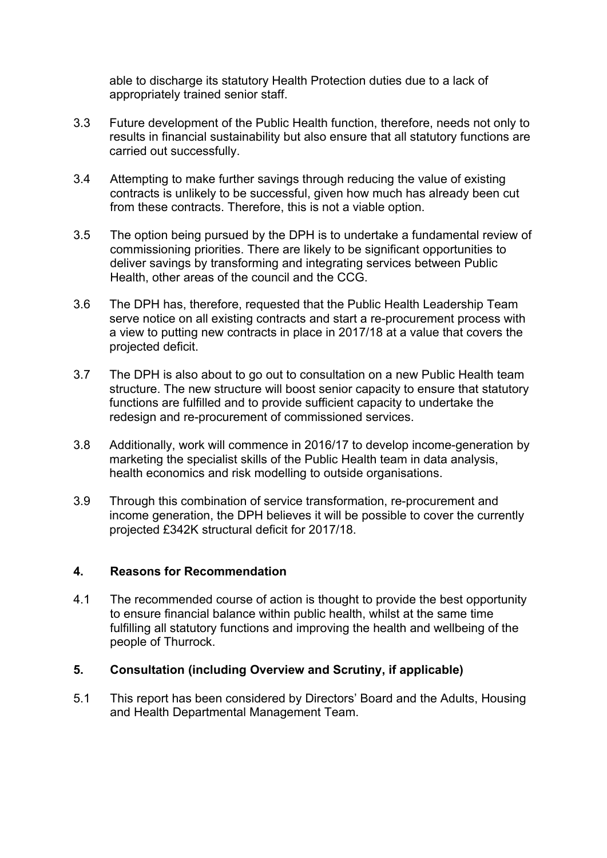able to discharge its statutory Health Protection duties due to a lack of appropriately trained senior staff.

- 3.3 Future development of the Public Health function, therefore, needs not only to results in financial sustainability but also ensure that all statutory functions are carried out successfully.
- 3.4 Attempting to make further savings through reducing the value of existing contracts is unlikely to be successful, given how much has already been cut from these contracts. Therefore, this is not a viable option.
- 3.5 The option being pursued by the DPH is to undertake a fundamental review of commissioning priorities. There are likely to be significant opportunities to deliver savings by transforming and integrating services between Public Health, other areas of the council and the CCG.
- 3.6 The DPH has, therefore, requested that the Public Health Leadership Team serve notice on all existing contracts and start a re-procurement process with a view to putting new contracts in place in 2017/18 at a value that covers the projected deficit.
- 3.7 The DPH is also about to go out to consultation on a new Public Health team structure. The new structure will boost senior capacity to ensure that statutory functions are fulfilled and to provide sufficient capacity to undertake the redesign and re-procurement of commissioned services.
- 3.8 Additionally, work will commence in 2016/17 to develop income-generation by marketing the specialist skills of the Public Health team in data analysis, health economics and risk modelling to outside organisations.
- 3.9 Through this combination of service transformation, re-procurement and income generation, the DPH believes it will be possible to cover the currently projected £342K structural deficit for 2017/18.

#### **4. Reasons for Recommendation**

4.1 The recommended course of action is thought to provide the best opportunity to ensure financial balance within public health, whilst at the same time fulfilling all statutory functions and improving the health and wellbeing of the people of Thurrock.

#### **5. Consultation (including Overview and Scrutiny, if applicable)**

5.1 This report has been considered by Directors' Board and the Adults, Housing and Health Departmental Management Team.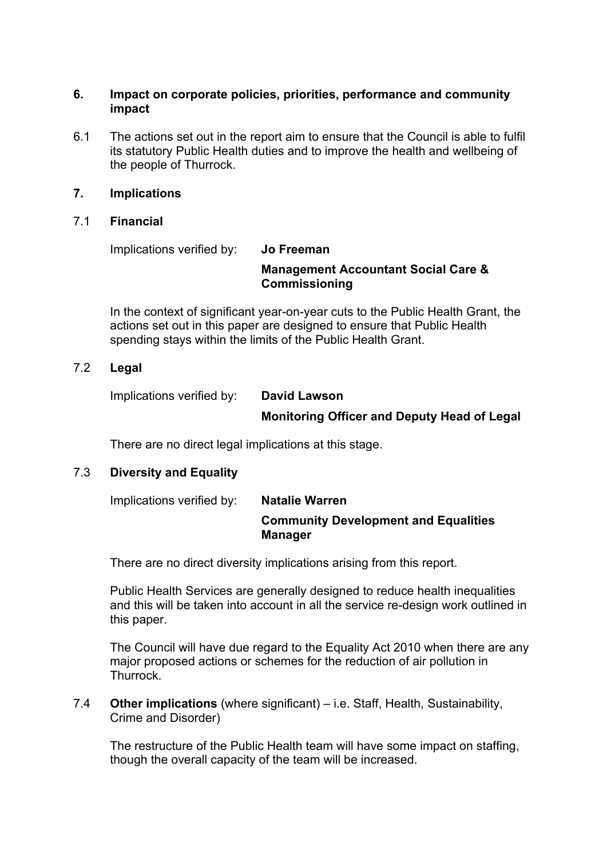#### **6. Impact on corporate policies, priorities, performance and community impact**

6.1 The actions set out in the report aim to ensure that the Council is able to fulfil its statutory Public Health duties and to improve the health and wellbeing of the people of Thurrock.

#### **7. Implications**

#### 7.1 **Financial**

Implications verified by: **Jo Freeman**

#### **Management Accountant Social Care & Commissioning**

In the context of significant year-on-year cuts to the Public Health Grant, the actions set out in this paper are designed to ensure that Public Health spending stays within the limits of the Public Health Grant.

#### 7.2 **Legal**

Implications verified by: **David Lawson**

#### **Monitoring Officer and Deputy Head of Legal**

There are no direct legal implications at this stage.

### 7.3 **Diversity and Equality**

| Implications verified by: | <b>Natalie Warren</b>                                         |  |
|---------------------------|---------------------------------------------------------------|--|
|                           | <b>Community Development and Equalities</b><br><b>Manager</b> |  |

There are no direct diversity implications arising from this report.

Public Health Services are generally designed to reduce health inequalities and this will be taken into account in all the service re-design work outlined in this paper.

The Council will have due regard to the Equality Act 2010 when there are any major proposed actions or schemes for the reduction of air pollution in Thurrock.

#### 7.4 **Other implications** (where significant) – i.e. Staff, Health, Sustainability, Crime and Disorder)

The restructure of the Public Health team will have some impact on staffing, though the overall capacity of the team will be increased.